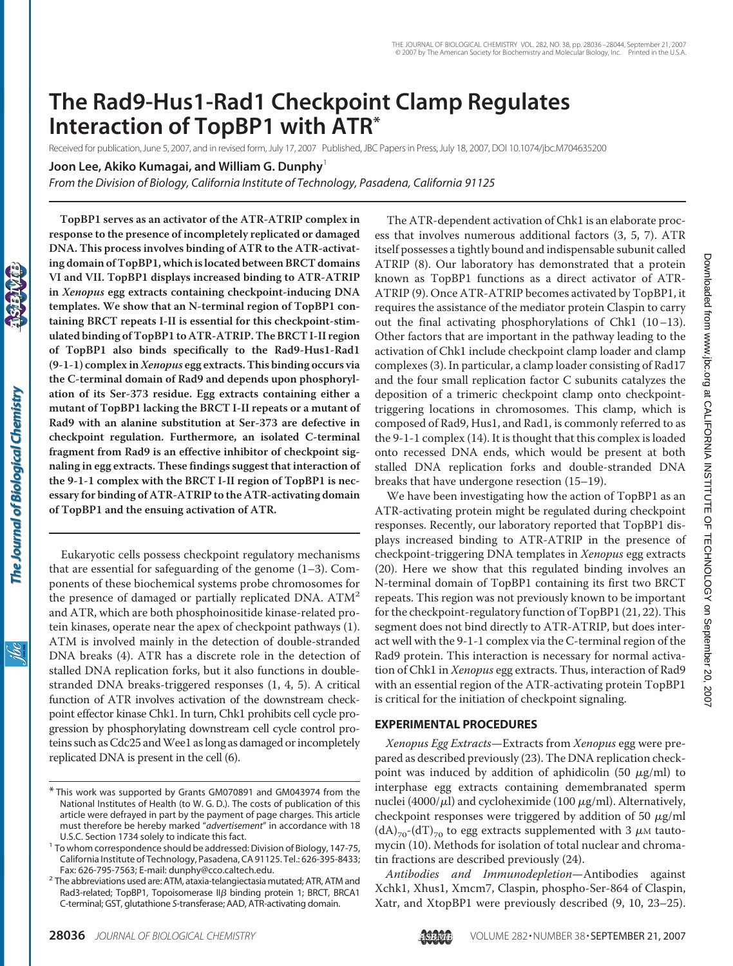# **The Rad9-Hus1-Rad1 Checkpoint Clamp Regulates Interaction of TopBP1 with ATR\***

Received for publication, June 5, 2007, and in revised form, July 17, 2007 Published, JBC Papers in Press, July 18, 2007, DOI 10.1074/jbc.M704635200

**Joon Lee, Akiko Kumagai, and William G. Dunphy**<sup>1</sup>

*From the Division of Biology, California Institute of Technology, Pasadena, California 91125*

**TopBP1 serves as an activator of the ATR-ATRIP complex in response to the presence of incompletely replicated or damaged DNA. This process involves binding of ATR to the ATR-activating domain of TopBP1, which is located between BRCT domains VI and VII. TopBP1 displays increased binding to ATR-ATRIP in** *Xenopus* **egg extracts containing checkpoint-inducing DNA templates. We show that an N-terminal region of TopBP1 containing BRCT repeats I-II is essential for this checkpoint-stimulated binding of TopBP1 to ATR-ATRIP. The BRCT I-II region of TopBP1 also binds specifically to the Rad9-Hus1-Rad1 (9-1-1) complex in***Xenopus* **egg extracts. This binding occurs via the C-terminal domain of Rad9 and depends upon phosphorylation of its Ser-373 residue. Egg extracts containing either a mutant of TopBP1 lacking the BRCT I-II repeats or a mutant of Rad9 with an alanine substitution at Ser-373 are defective in checkpoint regulation. Furthermore, an isolated C-terminal fragment from Rad9 is an effective inhibitor of checkpoint signaling in egg extracts. These findings suggest that interaction of the 9-1-1 complex with the BRCT I-II region of TopBP1 is necessary for binding of ATR-ATRIP to the ATR-activating domain of TopBP1 and the ensuing activation of ATR.**

Eukaryotic cells possess checkpoint regulatory mechanisms that are essential for safeguarding of the genome  $(1-3)$ . Components of these biochemical systems probe chromosomes for the presence of damaged or partially replicated DNA.  $ATM<sup>2</sup>$ and ATR, which are both phosphoinositide kinase-related protein kinases, operate near the apex of checkpoint pathways (1). ATM is involved mainly in the detection of double-stranded DNA breaks (4). ATR has a discrete role in the detection of stalled DNA replication forks, but it also functions in doublestranded DNA breaks-triggered responses (1, 4, 5). A critical function of ATR involves activation of the downstream checkpoint effector kinase Chk1. In turn, Chk1 prohibits cell cycle progression by phosphorylating downstream cell cycle control proteins such as Cdc25 and Wee1 as long as damaged or incompletely replicated DNA is present in the cell (6).

The ATR-dependent activation of Chk1 is an elaborate process that involves numerous additional factors (3, 5, 7). ATR itself possesses a tightly bound and indispensable subunit called ATRIP (8). Our laboratory has demonstrated that a protein known as TopBP1 functions as a direct activator of ATR-ATRIP (9). Once ATR-ATRIP becomes activated by TopBP1, it requires the assistance of the mediator protein Claspin to carry out the final activating phosphorylations of Chk1 (10–13). Other factors that are important in the pathway leading to the activation of Chk1 include checkpoint clamp loader and clamp complexes (3). In particular, a clamp loader consisting of Rad17 and the four small replication factor C subunits catalyzes the deposition of a trimeric checkpoint clamp onto checkpointtriggering locations in chromosomes. This clamp, which is composed of Rad9, Hus1, and Rad1, is commonly referred to as the 9-1-1 complex (14). It is thought that this complex is loaded onto recessed DNA ends, which would be present at both stalled DNA replication forks and double-stranded DNA breaks that have undergone resection (15–19).

We have been investigating how the action of TopBP1 as an ATR-activating protein might be regulated during checkpoint responses. Recently, our laboratory reported that TopBP1 displays increased binding to ATR-ATRIP in the presence of checkpoint-triggering DNA templates in *Xenopus* egg extracts (20). Here we show that this regulated binding involves an N-terminal domain of TopBP1 containing its first two BRCT repeats. This region was not previously known to be important for the checkpoint-regulatory function of TopBP1 (21, 22). This segment does not bind directly to ATR-ATRIP, but does interact well with the 9-1-1 complex via the C-terminal region of the Rad9 protein. This interaction is necessary for normal activation of Chk1 in *Xenopus* egg extracts. Thus, interaction of Rad9 with an essential region of the ATR-activating protein TopBP1 is critical for the initiation of checkpoint signaling.

# **EXPERIMENTAL PROCEDURES**

*Xenopus Egg Extracts*—Extracts from *Xenopus* egg were prepared as described previously (23). The DNA replication checkpoint was induced by addition of aphidicolin (50  $\mu$ g/ml) to interphase egg extracts containing demembranated sperm nuclei (4000/ $\mu$ l) and cycloheximide (100  $\mu$ g/ml). Alternatively, checkpoint responses were triggered by addition of 50  $\mu$ g/ml  $(dA)_{70}$ - $(dT)_{70}$  to egg extracts supplemented with 3  $\mu$ M tautomycin (10). Methods for isolation of total nuclear and chromatin fractions are described previously (24).

*Antibodies and Immunodepletion*—Antibodies against Xchk1, Xhus1, Xmcm7, Claspin, phospho-Ser-864 of Claspin, Xatr, and XtopBP1 were previously described (9, 10, 23–25).

<sup>\*</sup> This work was supported by Grants GM070891 and GM043974 from the National Institutes of Health (to W. G. D.). The costs of publication of this article were defrayed in part by the payment of page charges. This article must therefore be hereby marked "*advertisement*" in accordance with 18

U.S.C. Section 1734 solely to indicate this fact. <sup>1</sup> To whom correspondence should be addressed: Division of Biology, 147-75, California Institute of Technology, Pasadena, CA 91125. Tel.: 626-395-8433;

Fax: 626-795-7563; E-mail: dunphy@cco.caltech.edu. <sup>2</sup> The abbreviations used are: ATM, ataxia-telangiectasia mutated; ATR, ATM and Rad3-related; TopBP1, Topoisomerase II $\beta$  binding protein 1; BRCT, BRCA1 C-terminal; GST, glutathione *S*-transferase; AAD, ATR-activating domain.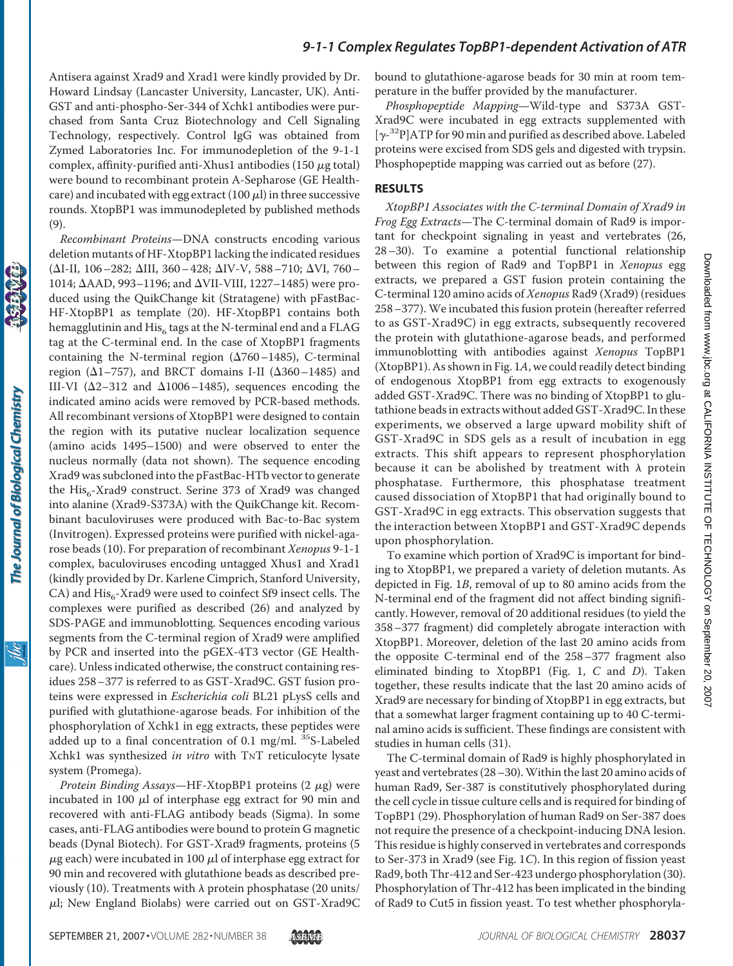Antisera against Xrad9 and Xrad1 were kindly provided by Dr. Howard Lindsay (Lancaster University, Lancaster, UK). Anti-GST and anti-phospho-Ser-344 of Xchk1 antibodies were purchased from Santa Cruz Biotechnology and Cell Signaling Technology, respectively. Control IgG was obtained from Zymed Laboratories Inc. For immunodepletion of the 9-1-1 complex, affinity-purified anti-Xhus1 antibodies (150  $\mu$ g total) were bound to recombinant protein A-Sepharose (GE Healthcare) and incubated with egg extract (100  $\mu$ l) in three successive rounds. XtopBP1 was immunodepleted by published methods (9).

*Recombinant Proteins*—DNA constructs encoding various deletion mutants of HF-XtopBP1 lacking the indicated residues ( $\Delta$ I-II, 106-282;  $\Delta$ III, 360-428;  $\Delta$ IV-V, 588-710;  $\Delta$ VI, 760-1014;  $\Delta$ AAD, 993–1196; and  $\Delta$ VII-VIII, 1227–1485) were produced using the QuikChange kit (Stratagene) with pFastBac-HF-XtopBP1 as template (20). HF-XtopBP1 contains both hemagglutinin and  $His<sub>6</sub>$  tags at the N-terminal end and a FLAG tag at the C-terminal end. In the case of XtopBP1 fragments containing the N-terminal region  $(\Delta 760 - 1485)$ , C-terminal region ( $\Delta$ 1–757), and BRCT domains I-II ( $\Delta$ 360–1485) and III-VI ( $\Delta$ 2-312 and  $\Delta$ 1006-1485), sequences encoding the indicated amino acids were removed by PCR-based methods. All recombinant versions of XtopBP1 were designed to contain the region with its putative nuclear localization sequence (amino acids 1495–1500) and were observed to enter the nucleus normally (data not shown). The sequence encoding Xrad9 was subcloned into the pFastBac-HTb vector to generate the  $His_{6}$ -Xrad9 construct. Serine 373 of Xrad9 was changed into alanine (Xrad9-S373A) with the QuikChange kit. Recombinant baculoviruses were produced with Bac-to-Bac system (Invitrogen). Expressed proteins were purified with nickel-agarose beads (10). For preparation of recombinant *Xenopus* 9-1-1 complex, baculoviruses encoding untagged Xhus1 and Xrad1 (kindly provided by Dr. Karlene Cimprich, Stanford University, CA) and  $His_{6}$ -Xrad9 were used to coinfect Sf9 insect cells. The complexes were purified as described (26) and analyzed by SDS-PAGE and immunoblotting. Sequences encoding various segments from the C-terminal region of Xrad9 were amplified by PCR and inserted into the pGEX-4T3 vector (GE Healthcare). Unless indicated otherwise, the construct containing residues 258–377 is referred to as GST-Xrad9C. GST fusion proteins were expressed in *Escherichia coli* BL21 pLysS cells and purified with glutathione-agarose beads. For inhibition of the phosphorylation of Xchk1 in egg extracts, these peptides were added up to a final concentration of 0.1 mg/ml. <sup>35</sup>S-Labeled Xchk1 was synthesized *in vitro* with TNT reticulocyte lysate system (Promega).

*Protein Binding Assays*—HF-XtopBP1 proteins (2 μg) were incubated in 100  $\mu$ l of interphase egg extract for 90 min and recovered with anti-FLAG antibody beads (Sigma). In some cases, anti-FLAG antibodies were bound to protein G magnetic beads (Dynal Biotech). For GST-Xrad9 fragments, proteins (5  $\mu$ g each) were incubated in 100  $\mu$ l of interphase egg extract for 90 min and recovered with glutathione beads as described previously (10). Treatments with  $\lambda$  protein phosphatase (20 units/  $\mu$ l; New England Biolabs) were carried out on GST-Xrad9C bound to glutathione-agarose beads for 30 min at room temperature in the buffer provided by the manufacturer.

*Phosphopeptide Mapping*—Wild-type and S373A GST-Xrad9C were incubated in egg extracts supplemented with  $[\gamma^{-32}P]$ ATP for 90 min and purified as described above. Labeled proteins were excised from SDS gels and digested with trypsin. Phosphopeptide mapping was carried out as before (27).

#### **RESULTS**

*XtopBP1 Associates with the C-terminal Domain of Xrad9 in Frog Egg Extracts*—The C-terminal domain of Rad9 is important for checkpoint signaling in yeast and vertebrates (26, 28–30). To examine a potential functional relationship between this region of Rad9 and TopBP1 in *Xenopus* egg extracts, we prepared a GST fusion protein containing the C-terminal 120 amino acids of *Xenopus* Rad9 (Xrad9) (residues 258–377). We incubated this fusion protein (hereafter referred to as GST-Xrad9C) in egg extracts, subsequently recovered the protein with glutathione-agarose beads, and performed immunoblotting with antibodies against *Xenopus* TopBP1 (XtopBP1). As shown in Fig. 1*A*, we could readily detect binding of endogenous XtopBP1 from egg extracts to exogenously added GST-Xrad9C. There was no binding of XtopBP1 to glutathione beads in extracts without added GST-Xrad9C. In these experiments, we observed a large upward mobility shift of GST-Xrad9C in SDS gels as a result of incubation in egg extracts. This shift appears to represent phosphorylation because it can be abolished by treatment with  $\lambda$  protein phosphatase. Furthermore, this phosphatase treatment caused dissociation of XtopBP1 that had originally bound to GST-Xrad9C in egg extracts. This observation suggests that the interaction between XtopBP1 and GST-Xrad9C depends upon phosphorylation.

To examine which portion of Xrad9C is important for binding to XtopBP1, we prepared a variety of deletion mutants. As depicted in Fig. 1*B*, removal of up to 80 amino acids from the N-terminal end of the fragment did not affect binding significantly. However, removal of 20 additional residues (to yield the 358–377 fragment) did completely abrogate interaction with XtopBP1. Moreover, deletion of the last 20 amino acids from the opposite C-terminal end of the 258–377 fragment also eliminated binding to XtopBP1 (Fig. 1, *C* and *D*). Taken together, these results indicate that the last 20 amino acids of Xrad9 are necessary for binding of XtopBP1 in egg extracts, but that a somewhat larger fragment containing up to 40 C-terminal amino acids is sufficient. These findings are consistent with studies in human cells (31).

The C-terminal domain of Rad9 is highly phosphorylated in yeast and vertebrates (28–30).Within the last 20 amino acids of human Rad9, Ser-387 is constitutively phosphorylated during the cell cycle in tissue culture cells and is required for binding of TopBP1 (29). Phosphorylation of human Rad9 on Ser-387 does not require the presence of a checkpoint-inducing DNA lesion. This residue is highly conserved in vertebrates and corresponds to Ser-373 in Xrad9 (see Fig. 1*C*). In this region of fission yeast Rad9, both Thr-412 and Ser-423 undergo phosphorylation (30). Phosphorylation of Thr-412 has been implicated in the binding of Rad9 to Cut5 in fission yeast. To test whether phosphoryla-

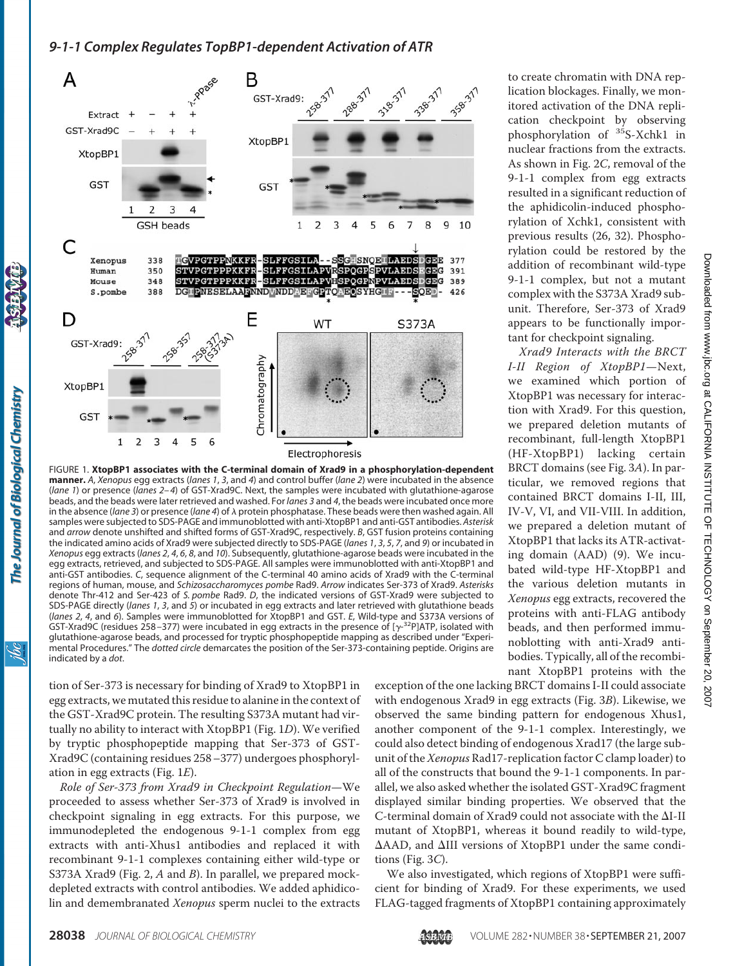

FIGURE 1. **XtopBP1 associates with the C-terminal domain of Xrad9 in a phosphorylation-dependent manner.** *A*, *Xenopus* egg extracts (*lanes 1*, *3*, and *4*) and control buffer (*lane 2*) were incubated in the absence (*lane 1*) or presence (*lanes 2–4*) of GST-Xrad9C. Next, the samples were incubated with glutathione-agarose beads, and the beads were later retrieved and washed. For *lanes 3* and *4*, the beads were incubated once more in the absence (*lane 3*) or presence (*lane 4*) of  $\lambda$  protein phosphatase. These beads were then washed again. All samples were subjected to SDS-PAGE and immunoblotted with anti-XtopBP1 and anti-GST antibodies. *Asterisk* and *arrow* denote unshifted and shifted forms of GST-Xrad9C, respectively. *B*, GST fusion proteins containing the indicated amino acids of Xrad9 were subjected directly to SDS-PAGE (*lanes 1*, *3*, *5*, *7*, and *9*) or incubated in *Xenopus* egg extracts (*lanes 2*, *4*, *6*, *8*, and *10*). Subsequently, glutathione-agarose beads were incubated in the egg extracts, retrieved, and subjected to SDS-PAGE. All samples were immunoblotted with anti-XtopBP1 and anti-GST antibodies. *C*, sequence alignment of the C-terminal 40 amino acids of Xrad9 with the C-terminal regions of human, mouse, and *Schizosaccharomyces pombe* Rad9. *Arrow* indicates Ser-373 of Xrad9. *Asterisks* denote Thr-412 and Ser-423 of *S. pombe* Rad9. *D*, the indicated versions of GST-Xrad9 were subjected to SDS-PAGE directly (*lanes 1*, *3*, and *5*) or incubated in egg extracts and later retrieved with glutathione beads (*lanes 2*, *4*, and *6*). Samples were immunoblotted for XtopBP1 and GST. *E*, Wild-type and S373A versions of GST-Xrad9C (residues 258-377) were incubated in egg extracts in the presence of  $[\gamma$ <sup>32</sup>P]ATP, isolated with glutathione-agarose beads, and processed for tryptic phosphopeptide mapping as described under "Experimental Procedures." The *dotted circle* demarcates the position of the Ser-373-containing peptide. Origins are indicated by a *dot*.

tion of Ser-373 is necessary for binding of Xrad9 to XtopBP1 in egg extracts, we mutated this residue to alanine in the context of the GST-Xrad9C protein. The resulting S373A mutant had virtually no ability to interact with XtopBP1 (Fig. 1*D*). We verified by tryptic phosphopeptide mapping that Ser-373 of GST-Xrad9C (containing residues 258–377) undergoes phosphorylation in egg extracts (Fig. 1*E*).

*Role of Ser-373 from Xrad9 in Checkpoint Regulation*—We proceeded to assess whether Ser-373 of Xrad9 is involved in checkpoint signaling in egg extracts. For this purpose, we immunodepleted the endogenous 9-1-1 complex from egg extracts with anti-Xhus1 antibodies and replaced it with recombinant 9-1-1 complexes containing either wild-type or S373A Xrad9 (Fig. 2, *A* and *B*). In parallel, we prepared mockdepleted extracts with control antibodies. We added aphidicolin and demembranated *Xenopus* sperm nuclei to the extracts

to create chromatin with DNA replication blockages. Finally, we monitored activation of the DNA replication checkpoint by observing phosphorylation of <sup>35</sup>S-Xchk1 in nuclear fractions from the extracts. As shown in Fig. 2*C*, removal of the 9-1-1 complex from egg extracts resulted in a significant reduction of the aphidicolin-induced phosphorylation of Xchk1, consistent with previous results (26, 32). Phosphorylation could be restored by the addition of recombinant wild-type 9-1-1 complex, but not a mutant complex with the S373A Xrad9 subunit. Therefore, Ser-373 of Xrad9 appears to be functionally important for checkpoint signaling.

*Xrad9 Interacts with the BRCT I-II Region of XtopBP1*—Next, we examined which portion of XtopBP1 was necessary for interaction with Xrad9. For this question, we prepared deletion mutants of recombinant, full-length XtopBP1 (HF-XtopBP1) lacking certain BRCT domains (see Fig. 3*A*). In particular, we removed regions that contained BRCT domains I-II, III, IV-V, VI, and VII-VIII. In addition, we prepared a deletion mutant of XtopBP1 that lacks its ATR-activating domain (AAD) (9). We incubated wild-type HF-XtopBP1 and the various deletion mutants in *Xenopus* egg extracts, recovered the proteins with anti-FLAG antibody beads, and then performed immunoblotting with anti-Xrad9 antibodies. Typically, all of the recombinant XtopBP1 proteins with the

exception of the one lacking BRCT domains I-II could associate with endogenous Xrad9 in egg extracts (Fig. 3*B*). Likewise, we observed the same binding pattern for endogenous Xhus1, another component of the 9-1-1 complex. Interestingly, we could also detect binding of endogenous Xrad17 (the large subunit of the *Xenopus* Rad17-replication factor C clamp loader) to all of the constructs that bound the 9-1-1 components. In parallel, we also asked whether the isolated GST-Xrad9C fragment displayed similar binding properties. We observed that the C-terminal domain of Xrad9 could not associate with the  $\Delta$ I-II mutant of XtopBP1, whereas it bound readily to wild-type,  $\Delta$ AAD, and  $\Delta$ III versions of XtopBP1 under the same conditions (Fig. 3*C*).

We also investigated, which regions of XtopBP1 were sufficient for binding of Xrad9. For these experiments, we used FLAG-tagged fragments of XtopBP1 containing approximately

The Journal of Biological Chemistry

<u>жі</u>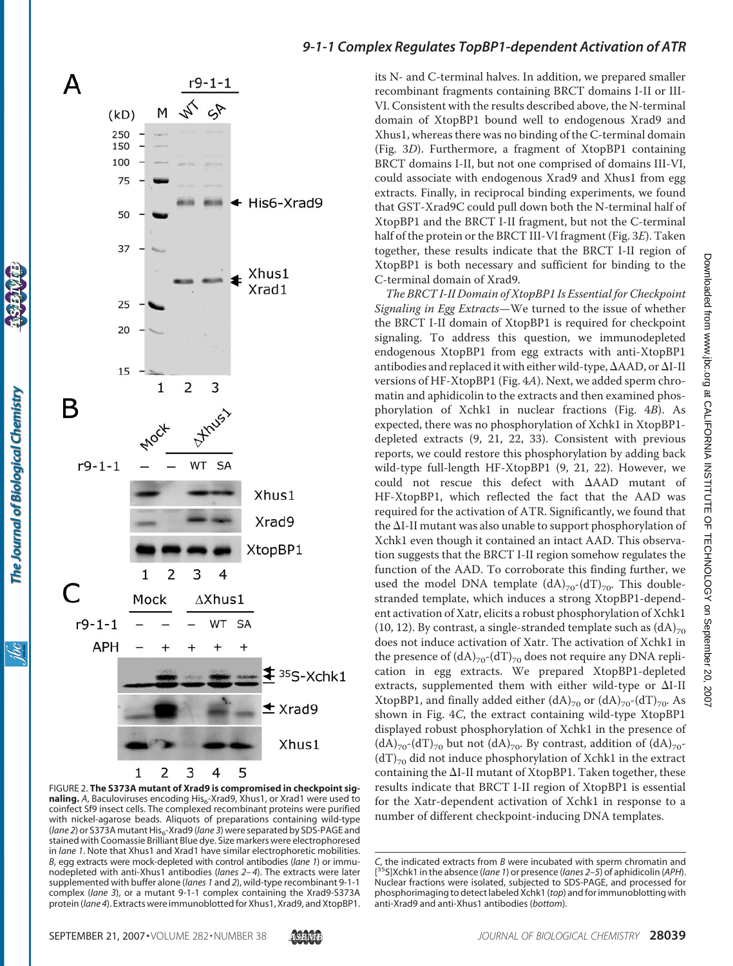

FIGURE 2. **The S373A mutant of Xrad9 is compromised in checkpoint sig**naling. A, Baculoviruses encoding His<sub>6</sub>-Xrad9, Xhus1, or Xrad1 were used to coinfect Sf9 insect cells. The complexed recombinant proteins were purified with nickel-agarose beads. Aliquots of preparations containing wild-type (*lane 2*) or S373A mutant His<sub>6</sub>-Xrad9 (*lane 3*) were separated by SDS-PAGE and stained with Coomassie Brilliant Blue dye. Size markers were electrophoresed in *lane 1*. Note that Xhus1 and Xrad1 have similar electrophoretic mobilities. *B*, egg extracts were mock-depleted with control antibodies (*lane 1*) or immunodepleted with anti-Xhus1 antibodies (*lanes 2–4*). The extracts were later supplemented with buffer alone (*lanes 1* and *2*), wild-type recombinant 9-1-1 complex (*lane 3*), or a mutant 9-1-1 complex containing the Xrad9-S373A protein (*lane 4*). Extracts were immunoblottedfor Xhus1, Xrad9, and XtopBP1.

its N- and C-terminal halves. In addition, we prepared smaller recombinant fragments containing BRCT domains I-II or III-VI. Consistent with the results described above, the N-terminal domain of XtopBP1 bound well to endogenous Xrad9 and Xhus1, whereas there was no binding of the C-terminal domain (Fig. 3*D*). Furthermore, a fragment of XtopBP1 containing BRCT domains I-II, but not one comprised of domains III-VI, could associate with endogenous Xrad9 and Xhus1 from egg extracts. Finally, in reciprocal binding experiments, we found that GST-Xrad9C could pull down both the N-terminal half of XtopBP1 and the BRCT I-II fragment, but not the C-terminal half of the protein or the BRCT III-VI fragment (Fig. 3*E*). Taken together, these results indicate that the BRCT I-II region of XtopBP1 is both necessary and sufficient for binding to the C-terminal domain of Xrad9.

*The BRCT I-II Domain of XtopBP1 Is Essential for Checkpoint Signaling in Egg Extracts*—We turned to the issue of whether the BRCT I-II domain of XtopBP1 is required for checkpoint signaling. To address this question, we immunodepleted endogenous XtopBP1 from egg extracts with anti-XtopBP1 antibodies and replaced it with either wild-type,  $\Delta$ AAD, or  $\Delta$ I-II versions of HF-XtopBP1 (Fig. 4*A*). Next, we added sperm chromatin and aphidicolin to the extracts and then examined phosphorylation of Xchk1 in nuclear fractions (Fig. 4*B*). As expected, there was no phosphorylation of Xchk1 in XtopBP1 depleted extracts (9, 21, 22, 33). Consistent with previous reports, we could restore this phosphorylation by adding back wild-type full-length HF-XtopBP1 (9, 21, 22). However, we could not rescue this defect with AAD mutant of HF-XtopBP1, which reflected the fact that the AAD was required for the activation of ATR. Significantly, we found that the  $\Delta I$ -II mutant was also unable to support phosphorylation of Xchk1 even though it contained an intact AAD. This observation suggests that the BRCT I-II region somehow regulates the function of the AAD. To corroborate this finding further, we used the model DNA template  $(dA)_{70}$ - $(dT)_{70}$ . This doublestranded template, which induces a strong XtopBP1-dependent activation of Xatr, elicits a robust phosphorylation of Xchk1 (10, 12). By contrast, a single-stranded template such as  $(dA)_{70}$ does not induce activation of Xatr. The activation of Xchk1 in the presence of  $(dA)_{70}$ - $(dT)_{70}$  does not require any DNA replication in egg extracts. We prepared XtopBP1-depleted extracts, supplemented them with either wild-type or  $\Delta I$ -II XtopBP1, and finally added either  $(dA)_{70}$  or  $(dA)_{70}$ - $(dT)_{70}$ . As shown in Fig. 4*C*, the extract containing wild-type XtopBP1 displayed robust phosphorylation of Xchk1 in the presence of  $(dA)_{70}$ -(dT)<sub>70</sub> but not  $(dA)_{70}$ . By contrast, addition of  $(dA)_{70}$ - $(dT)_{70}$  did not induce phosphorylation of Xchk1 in the extract containing the  $\Delta$ I-II mutant of XtopBP1. Taken together, these results indicate that BRCT I-II region of XtopBP1 is essential for the Xatr-dependent activation of Xchk1 in response to a number of different checkpoint-inducing DNA templates.

The Journal of Biological Chemistry

<u>ibc</u>

*C*, the indicated extracts from *B* were incubated with sperm chromatin and [ 35S]Xchk1 in the absence (*lane 1*) or presence (*lanes 2–5*) of aphidicolin (*APH*). Nuclear fractions were isolated, subjected to SDS-PAGE, and processed for phosphorimaging to detect labeled Xchk1 (*top*) and for immunoblotting with anti-Xrad9 and anti-Xhus1 antibodies (*bottom*).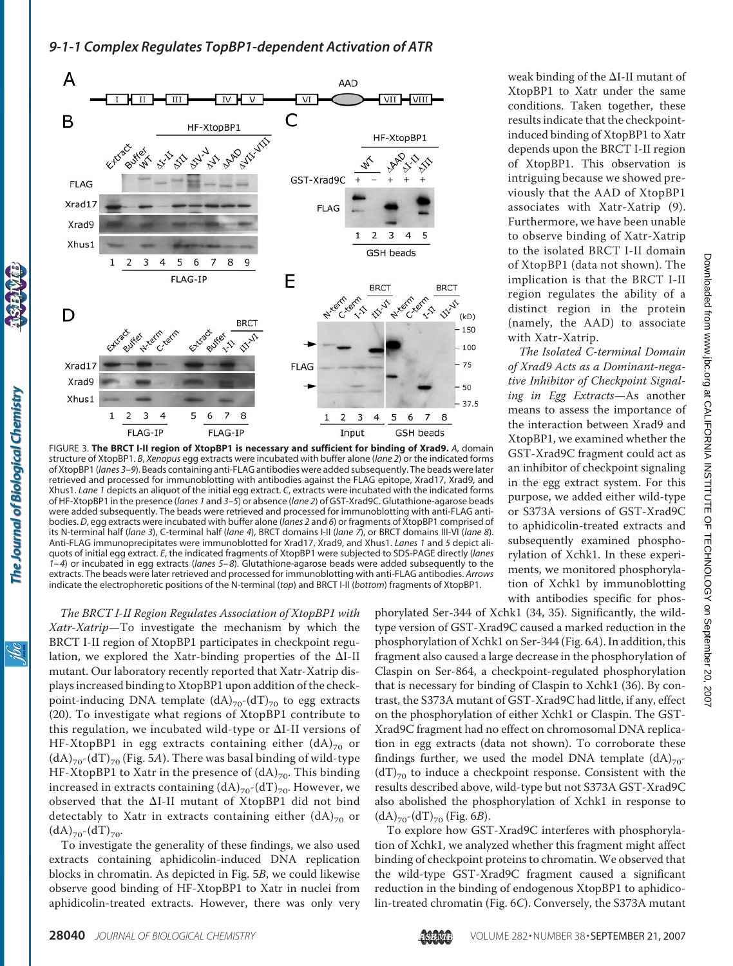

FIGURE 3. **The BRCT I-II region of XtopBP1 is necessary and sufficient for binding of Xrad9.** *A*, domain structure of XtopBP1. *B*, *Xenopus* egg extracts were incubated with buffer alone (*lane 2*) or the indicated forms of XtopBP1 (*lanes 3–9*). Beads containing anti-FLAG antibodies were added subsequently. The beads were later retrieved and processed for immunoblotting with antibodies against the FLAG epitope, Xrad17, Xrad9, and Xhus1. *Lane 1* depicts an aliquot of the initial egg extract. *C*, extracts were incubated with the indicated forms of HF-XtopBP1 in the presence (*lanes 1* and *3–5*) or absence (*lane 2*) of GST-Xrad9C. Glutathione-agarose beads were added subsequently. The beads were retrieved and processed for immunoblotting with anti-FLAG antibodies. *D*, egg extracts were incubated with buffer alone (*lanes 2* and *6*) or fragments of XtopBP1 comprised of its N-terminal half (*lane 3*), C-terminal half (*lane 4*), BRCT domains I-II (*lane 7*), or BRCT domains III-VI (*lane 8*). Anti-FLAG immunoprecipitates were immunoblotted for Xrad17, Xrad9, and Xhus1. *Lanes 1* and *5* depict aliquots of initial egg extract. *E*, the indicated fragments of XtopBP1 were subjected to SDS-PAGE directly (*lanes 1–4*) or incubated in egg extracts (*lanes 5–8*). Glutathione-agarose beads were added subsequently to the extracts. The beads were later retrieved and processed for immunoblotting with anti-FLAG antibodies. *Arrows* indicate the electrophoretic positions of the N-terminal (*top*) and BRCT I-II (*bottom*) fragments of XtopBP1.

*The BRCT I-II Region Regulates Association of XtopBP1 with Xatr-Xatrip*—To investigate the mechanism by which the BRCT I-II region of XtopBP1 participates in checkpoint regulation, we explored the Xatr-binding properties of the  $\Delta I$ -II mutant. Our laboratory recently reported that Xatr-Xatrip displays increased binding to XtopBP1 upon addition of the checkpoint-inducing DNA template  $(dA)_{70}$ - $(dT)_{70}$  to egg extracts (20). To investigate what regions of XtopBP1 contribute to this regulation, we incubated wild-type or  $\Delta I$ -II versions of HF-XtopBP1 in egg extracts containing either  $(dA)_{70}$  or  $(dA)_{70}$ - $(dT)_{70}$  (Fig. 5*A*). There was basal binding of wild-type HF-XtopBP1 to Xatr in the presence of  $(dA)_{70}$ . This binding increased in extracts containing  $(dA)_{70}$ - $(dT)_{70}$ . However, we observed that the  $\Delta I$ -II mutant of XtopBP1 did not bind detectably to Xatr in extracts containing either  $(dA)_{70}$  or  $(dA)_{70}$ - $(dT)_{70}$ .

To investigate the generality of these findings, we also used extracts containing aphidicolin-induced DNA replication blocks in chromatin. As depicted in Fig. 5*B*, we could likewise observe good binding of HF-XtopBP1 to Xatr in nuclei from aphidicolin-treated extracts. However, there was only very

weak binding of the  $\Delta I$ -II mutant of XtopBP1 to Xatr under the same conditions. Taken together, these results indicate that the checkpointinduced binding of XtopBP1 to Xatr depends upon the BRCT I-II region of XtopBP1. This observation is intriguing because we showed previously that the AAD of XtopBP1 associates with Xatr-Xatrip (9). Furthermore, we have been unable to observe binding of Xatr-Xatrip to the isolated BRCT I-II domain of XtopBP1 (data not shown). The implication is that the BRCT I-II region regulates the ability of a distinct region in the protein (namely, the AAD) to associate with Xatr-Xatrip.

*The Isolated C-terminal Domain of Xrad9 Acts as a Dominant-negative Inhibitor of Checkpoint Signaling in Egg Extracts*—As another means to assess the importance of the interaction between Xrad9 and XtopBP1, we examined whether the GST-Xrad9C fragment could act as an inhibitor of checkpoint signaling in the egg extract system. For this purpose, we added either wild-type or S373A versions of GST-Xrad9C to aphidicolin-treated extracts and subsequently examined phosphorylation of Xchk1. In these experiments, we monitored phosphorylation of Xchk1 by immunoblotting with antibodies specific for phos-

phorylated Ser-344 of Xchk1 (34, 35). Significantly, the wildtype version of GST-Xrad9C caused a marked reduction in the phosphorylation of Xchk1 on Ser-344 (Fig. 6*A*). In addition, this fragment also caused a large decrease in the phosphorylation of Claspin on Ser-864, a checkpoint-regulated phosphorylation that is necessary for binding of Claspin to Xchk1 (36). By contrast, the S373A mutant of GST-Xrad9C had little, if any, effect on the phosphorylation of either Xchk1 or Claspin. The GST-Xrad9C fragment had no effect on chromosomal DNA replication in egg extracts (data not shown). To corroborate these findings further, we used the model DNA template  $(dA)_{70}$ - $(dT)_{70}$  to induce a checkpoint response. Consistent with the results described above, wild-type but not S373A GST-Xrad9C also abolished the phosphorylation of Xchk1 in response to  $(dA)_{70}$ - $(dT)_{70}$  (Fig. 6*B*).

To explore how GST-Xrad9C interferes with phosphorylation of Xchk1, we analyzed whether this fragment might affect binding of checkpoint proteins to chromatin. We observed that the wild-type GST-Xrad9C fragment caused a significant reduction in the binding of endogenous XtopBP1 to aphidicolin-treated chromatin (Fig. 6*C*). Conversely, the S373A mutant

The Journal of Biological Chemistry

ibc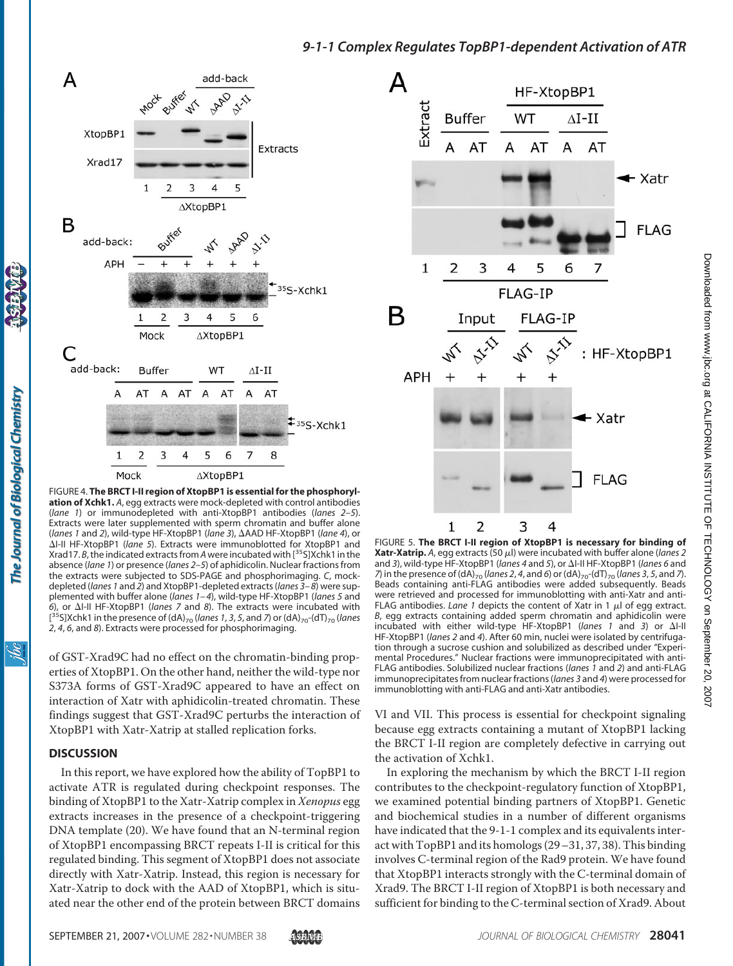

FIGURE 4. **The BRCT I-II region of XtopBP1 is essential for the phosphorylation of Xchk1.** *A*, egg extracts were mock-depleted with control antibodies (*lane 1*) or immunodepleted with anti-XtopBP1 antibodies (*lanes 2–5*). Extracts were later supplemented with sperm chromatin and buffer alone (*lanes 1* and *2*), wild-type HF-XtopBP1 (*lane 3*), AAD HF-XtopBP1 (*lane 4*), or I-II HF-XtopBP1 (*lane 5*). Extracts were immunoblotted for XtopBP1 and Xrad17. *B*, the indicated extracts from *A*were incubated with [35S]Xchk1 in the absence (*lane 1*) or presence (*lanes 2–5*) of aphidicolin. Nuclear fractions from the extracts were subjected to SDS-PAGE and phosphorimaging. *C*, mockdepleted (*lanes 1* and *2*) and XtopBP1-depleted extracts (*lanes 3–8*) were supplemented with buffer alone (*lanes 1–4*), wild-type HF-XtopBP1 (*lanes 5* and 6), or ΔI-II HF-XtopBP1 (*lanes 7* and 8). The extracts were incubated with [<sup>35</sup>S]Xchk1 in the presence of (dA)<sub>70</sub> (*lanes 1, 3, 5,* and *7*) or (dA)<sub>70</sub>-(dT)<sub>70</sub> (*lanes 2*, *4*, *6*, and *8*). Extracts were processed for phosphorimaging.

of GST-Xrad9C had no effect on the chromatin-binding properties of XtopBP1. On the other hand, neither the wild-type nor S373A forms of GST-Xrad9C appeared to have an effect on interaction of Xatr with aphidicolin-treated chromatin. These findings suggest that GST-Xrad9C perturbs the interaction of XtopBP1 with Xatr-Xatrip at stalled replication forks.

#### **DISCUSSION**

The Journal of Biological Chemistry

<u>isi</u>

In this report, we have explored how the ability of TopBP1 to activate ATR is regulated during checkpoint responses. The binding of XtopBP1 to the Xatr-Xatrip complex in *Xenopus* egg extracts increases in the presence of a checkpoint-triggering DNA template (20). We have found that an N-terminal region of XtopBP1 encompassing BRCT repeats I-II is critical for this regulated binding. This segment of XtopBP1 does not associate directly with Xatr-Xatrip. Instead, this region is necessary for Xatr-Xatrip to dock with the AAD of XtopBP1, which is situated near the other end of the protein between BRCT domains



FIGURE 5. **The BRCT I-II region of XtopBP1 is necessary for binding of Xatr-Xatrip.** A, egg extracts (50  $\mu$ l) were incubated with buffer alone (*lanes 2* and *3*), wild-type HF-XtopBP1 (*lanes 4* and *5*), or ΔI-II HF-XtopBP1 (*lanes 6* and *7*) in the presence of (dA)<sub>70</sub> (lanes 2, 4, and 6) or (dA)<sub>70</sub>-(dT)<sub>70</sub> (lanes 3, 5, and 7). Beads containing anti-FLAG antibodies were added subsequently. Beads were retrieved and processed for immunoblotting with anti-Xatr and anti-FLAG antibodies. *Lane 1* depicts the content of Xatr in 1  $\mu$ l of egg extract. *B*, egg extracts containing added sperm chromatin and aphidicolin were incubated with either wild-type HF-XtopBP1 (lanes 1 and 3) or  $\Delta I$ -II HF-XtopBP1 (*lanes 2* and *4*). After 60 min, nuclei were isolated by centrifugation through a sucrose cushion and solubilized as described under "Experimental Procedures." Nuclear fractions were immunoprecipitated with anti-FLAG antibodies. Solubilized nuclear fractions (*lanes 1* and *2*) and anti-FLAG immunoprecipitates from nuclear fractions (*lanes 3* and *4*) were processed for immunoblotting with anti-FLAG and anti-Xatr antibodies.

VI and VII. This process is essential for checkpoint signaling because egg extracts containing a mutant of XtopBP1 lacking the BRCT I-II region are completely defective in carrying out the activation of Xchk1.

In exploring the mechanism by which the BRCT I-II region contributes to the checkpoint-regulatory function of XtopBP1, we examined potential binding partners of XtopBP1. Genetic and biochemical studies in a number of different organisms have indicated that the 9-1-1 complex and its equivalents interact with TopBP1 and its homologs (29–31, 37, 38). This binding involves C-terminal region of the Rad9 protein. We have found that XtopBP1 interacts strongly with the C-terminal domain of Xrad9. The BRCT I-II region of XtopBP1 is both necessary and sufficient for binding to the C-terminal section of Xrad9. About

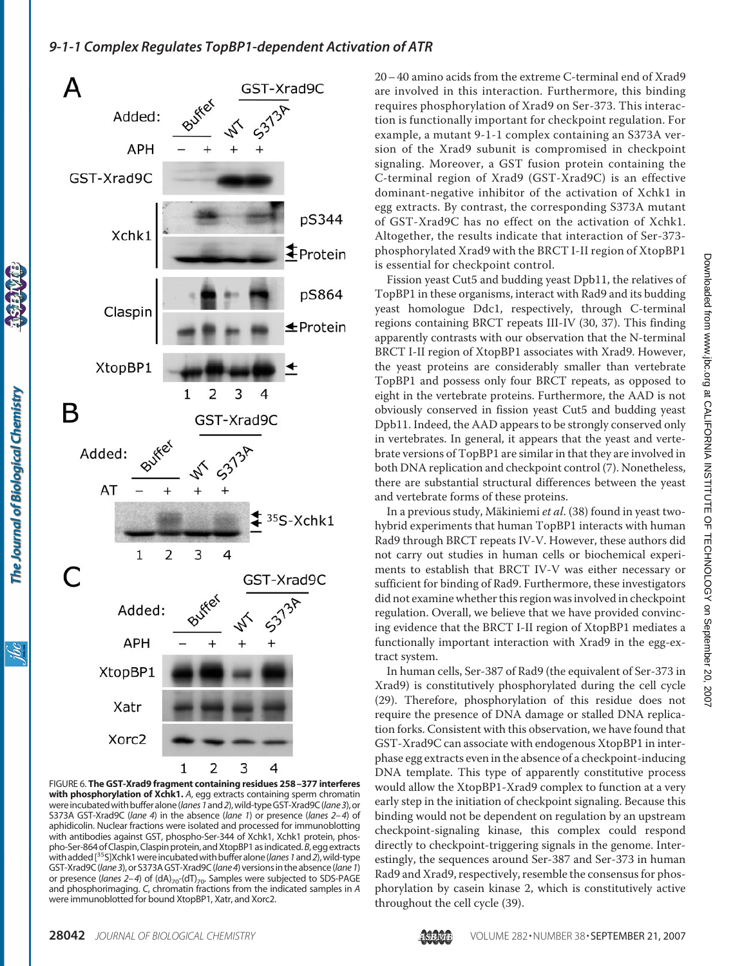

FIGURE 6. **The GST-Xrad9 fragment containing residues 258 –377 interferes with phosphorylation of Xchk1.** *A*, egg extracts containing sperm chromatin were incubated with buffer alone (*lanes* 1 and 2), wild-type GST-Xrad9C (*lane 3*), or S373A GST-Xrad9C (*lane 4*) in the absence (*lane 1*) or presence (*lanes 2–4*) of aphidicolin. Nuclear fractions were isolated and processed for immunoblotting with antibodies against GST, phospho-Ser-344 of Xchk1, Xchk1 protein, phospho-Ser-864 of Claspin, Claspin protein, and XtopBP1 as indicated. B, egg extracts with added [<sup>35</sup>S]Xchk1 were incubated with buffer alone (*lanes 1* and 2), wild-type GST-Xrad9C(*lane3*), orS373AGST-Xrad9C(*lane4*)versionsin theabsence(*lane1*) or presence (*lanes 2-4*) of (dA)<sub>70</sub>-(dT)<sub>70</sub>. Samples were subjected to SDS-PAGE and phosphorimaging. *C*, chromatin fractions from the indicated samples in *A* were immunoblotted for bound XtopBP1, Xatr, and Xorc2.

20– 40 amino acids from the extreme C-terminal end of Xrad9 are involved in this interaction. Furthermore, this binding requires phosphorylation of Xrad9 on Ser-373. This interaction is functionally important for checkpoint regulation. For example, a mutant 9-1-1 complex containing an S373A version of the Xrad9 subunit is compromised in checkpoint signaling. Moreover, a GST fusion protein containing the C-terminal region of Xrad9 (GST-Xrad9C) is an effective dominant-negative inhibitor of the activation of Xchk1 in egg extracts. By contrast, the corresponding S373A mutant of GST-Xrad9C has no effect on the activation of Xchk1. Altogether, the results indicate that interaction of Ser-373 phosphorylated Xrad9 with the BRCT I-II region of XtopBP1 is essential for checkpoint control.

Fission yeast Cut5 and budding yeast Dpb11, the relatives of TopBP1 in these organisms, interact with Rad9 and its budding yeast homologue Ddc1, respectively, through C-terminal regions containing BRCT repeats III-IV (30, 37). This finding apparently contrasts with our observation that the N-terminal BRCT I-II region of XtopBP1 associates with Xrad9. However, the yeast proteins are considerably smaller than vertebrate TopBP1 and possess only four BRCT repeats, as opposed to eight in the vertebrate proteins. Furthermore, the AAD is not obviously conserved in fission yeast Cut5 and budding yeast Dpb11. Indeed, the AAD appears to be strongly conserved only in vertebrates. In general, it appears that the yeast and vertebrate versions of TopBP1 are similar in that they are involved in both DNA replication and checkpoint control (7). Nonetheless, there are substantial structural differences between the yeast and vertebrate forms of these proteins.

In a previous study, Mäkiniemi *et al.* (38) found in yeast twohybrid experiments that human TopBP1 interacts with human Rad9 through BRCT repeats IV-V. However, these authors did not carry out studies in human cells or biochemical experiments to establish that BRCT IV-V was either necessary or sufficient for binding of Rad9. Furthermore, these investigators did not examine whether this region was involved in checkpoint regulation. Overall, we believe that we have provided convincing evidence that the BRCT I-II region of XtopBP1 mediates a functionally important interaction with Xrad9 in the egg-extract system.

In human cells, Ser-387 of Rad9 (the equivalent of Ser-373 in Xrad9) is constitutively phosphorylated during the cell cycle (29). Therefore, phosphorylation of this residue does not require the presence of DNA damage or stalled DNA replication forks. Consistent with this observation, we have found that GST-Xrad9C can associate with endogenous XtopBP1 in interphase egg extracts even in the absence of a checkpoint-inducing DNA template. This type of apparently constitutive process would allow the XtopBP1-Xrad9 complex to function at a very early step in the initiation of checkpoint signaling. Because this binding would not be dependent on regulation by an upstream checkpoint-signaling kinase, this complex could respond directly to checkpoint-triggering signals in the genome. Interestingly, the sequences around Ser-387 and Ser-373 in human Rad9 and Xrad9, respectively, resemble the consensus for phosphorylation by casein kinase 2, which is constitutively active throughout the cell cycle (39).

ibc

The Journal of Biological Chemistry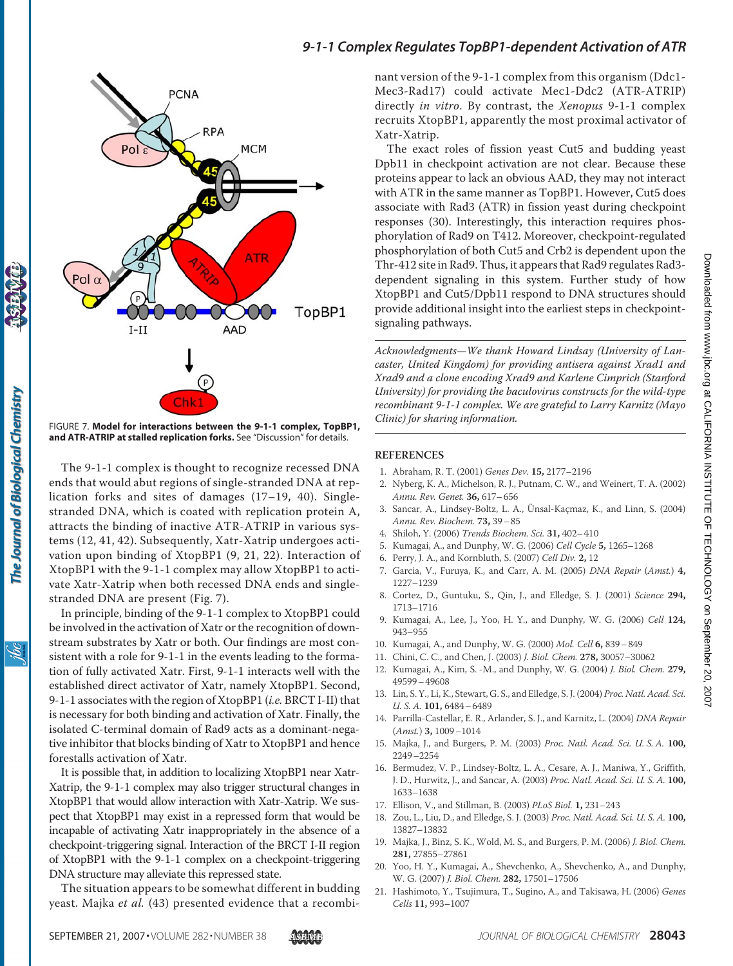

FIGURE 7. **Model for interactions between the 9-1-1 complex, TopBP1, and ATR-ATRIP at stalled replication forks.** See "Discussion" for details.

The 9-1-1 complex is thought to recognize recessed DNA ends that would abut regions of single-stranded DNA at replication forks and sites of damages (17–19, 40). Singlestranded DNA, which is coated with replication protein A, attracts the binding of inactive ATR-ATRIP in various systems (12, 41, 42). Subsequently, Xatr-Xatrip undergoes activation upon binding of XtopBP1 (9, 21, 22). Interaction of XtopBP1 with the 9-1-1 complex may allow XtopBP1 to activate Xatr-Xatrip when both recessed DNA ends and singlestranded DNA are present (Fig. 7).

The Journal of Biological Chemistry

ibc

In principle, binding of the 9-1-1 complex to XtopBP1 could be involved in the activation of Xatr or the recognition of downstream substrates by Xatr or both. Our findings are most consistent with a role for 9-1-1 in the events leading to the formation of fully activated Xatr. First, 9-1-1 interacts well with the established direct activator of Xatr, namely XtopBP1. Second, 9-1-1 associates with the region of XtopBP1 (*i.e.* BRCT I-II) that is necessary for both binding and activation of Xatr. Finally, the isolated C-terminal domain of Rad9 acts as a dominant-negative inhibitor that blocks binding of Xatr to XtopBP1 and hence forestalls activation of Xatr.

It is possible that, in addition to localizing XtopBP1 near Xatr-Xatrip, the 9-1-1 complex may also trigger structural changes in XtopBP1 that would allow interaction with Xatr-Xatrip. We suspect that XtopBP1 may exist in a repressed form that would be incapable of activating Xatr inappropriately in the absence of a checkpoint-triggering signal. Interaction of the BRCT I-II region of XtopBP1 with the 9-1-1 complex on a checkpoint-triggering DNA structure may alleviate this repressed state.

The situation appears to be somewhat different in budding yeast. Majka *et al.* (43) presented evidence that a recombi-

### *9-1-1 Complex Regulates TopBP1-dependent Activation of ATR*

nant version of the 9-1-1 complex from this organism (Ddc1- Mec3-Rad17) could activate Mec1-Ddc2 (ATR-ATRIP) directly *in vitro*. By contrast, the *Xenopus* 9-1-1 complex recruits XtopBP1, apparently the most proximal activator of Xatr-Xatrip.

The exact roles of fission yeast Cut5 and budding yeast Dpb11 in checkpoint activation are not clear. Because these proteins appear to lack an obvious AAD, they may not interact with ATR in the same manner as TopBP1. However, Cut5 does associate with Rad3 (ATR) in fission yeast during checkpoint responses (30). Interestingly, this interaction requires phosphorylation of Rad9 on T412. Moreover, checkpoint-regulated phosphorylation of both Cut5 and Crb2 is dependent upon the Thr-412 site in Rad9. Thus, it appears that Rad9 regulates Rad3 dependent signaling in this system. Further study of how XtopBP1 and Cut5/Dpb11 respond to DNA structures should provide additional insight into the earliest steps in checkpointsignaling pathways.

*Acknowledgments—We thank Howard Lindsay (University of Lancaster, United Kingdom) for providing antisera against Xrad1 and Xrad9 and a clone encoding Xrad9 and Karlene Cimprich (Stanford University) for providing the baculovirus constructs for the wild-type recombinant 9-1-1 complex. We are grateful to Larry Karnitz (Mayo Clinic) for sharing information.*

#### **REFERENCES**

- 1. Abraham, R. T. (2001) *Genes Dev.* **15,** 2177–2196
- 2. Nyberg, K. A., Michelson, R. J., Putnam, C. W., and Weinert, T. A. (2002) *Annu. Rev. Genet.* **36,** 617–656
- 3. Sancar, A., Lindsey-Boltz, L. A., Ünsal-Kaçmaz, K., and Linn, S. (2004) *Annu. Rev. Biochem.* **73,** 39–85
- 4. Shiloh, Y. (2006) *Trends Biochem. Sci.* **31,** 402–410
- 5. Kumagai, A., and Dunphy, W. G. (2006) *Cell Cycle* **5,** 1265–1268
- 6. Perry, J. A., and Kornbluth, S. (2007) *Cell Div.* **2,** 12
- 7. Garcia, V., Furuya, K., and Carr, A. M. (2005) *DNA Repair* (*Amst.*) **4,** 1227–1239
- 8. Cortez, D., Guntuku, S., Qin, J., and Elledge, S. J. (2001) *Science* **294,** 1713–1716
- 9. Kumagai, A., Lee, J., Yoo, H. Y., and Dunphy, W. G. (2006) *Cell* **124,** 943–955
- 10. Kumagai, A., and Dunphy, W. G. (2000) *Mol. Cell* **6,** 839–849
- 11. Chini, C. C., and Chen, J. (2003) *J. Biol. Chem.* **278,** 30057–30062
- 12. Kumagai, A., Kim, S. -M., and Dunphy, W. G. (2004) *J. Biol. Chem.* **279,** 49599–49608
- 13. Lin, S. Y., Li, K., Stewart, G. S., and Elledge, S. J. (2004) *Proc. Natl. Acad. Sci. U. S. A.* **101,** 6484–6489
- 14. Parrilla-Castellar, E. R., Arlander, S. J., and Karnitz, L. (2004) *DNA Repair* (*Amst.*) **3,** 1009–1014
- 15. Majka, J., and Burgers, P. M. (2003) *Proc. Natl. Acad. Sci. U. S. A.* **100,** 2249–2254
- 16. Bermudez, V. P., Lindsey-Boltz, L. A., Cesare, A. J., Maniwa, Y., Griffith, J. D., Hurwitz, J., and Sancar, A. (2003) *Proc. Natl. Acad. Sci. U. S. A.* **100,** 1633–1638
- 17. Ellison, V., and Stillman, B. (2003) *PLoS Biol.* **1,** 231–243
- 18. Zou, L., Liu, D., and Elledge, S. J. (2003) *Proc. Natl. Acad. Sci. U. S. A.* **100,** 13827–13832
- 19. Majka, J., Binz, S. K., Wold, M. S., and Burgers, P. M. (2006) *J. Biol. Chem.* **281,** 27855–27861
- 20. Yoo, H. Y., Kumagai, A., Shevchenko, A., Shevchenko, A., and Dunphy, W. G. (2007) *J. Biol. Chem.* **282,** 17501–17506
- 21. Hashimoto, Y., Tsujimura, T., Sugino, A., and Takisawa, H. (2006) *Genes Cells* **11,** 993–1007